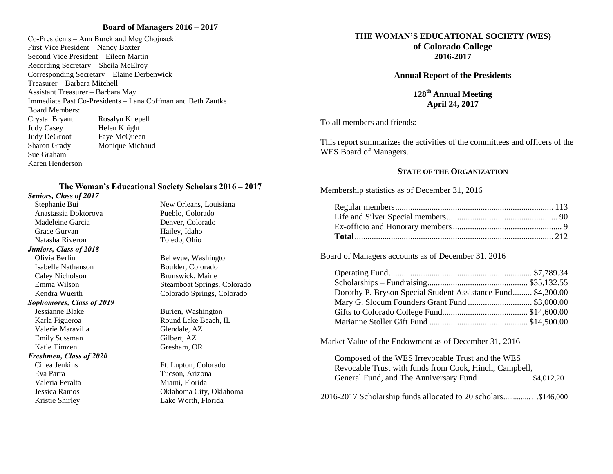### **Board of Managers 2016 – 2017**

Co-Presidents – Ann Burek and Meg Chojnacki First Vice President – Nancy Baxter Second Vice President – Eileen Martin Recording Secretary – Sheila McElroy Corresponding Secretary – Elaine Derbenwick Treasurer – Barbara Mitchell Assistant Treasurer – Barbara May Immediate Past Co-Presidents – Lana Coffman and Beth Zautke Board Members: Crystal Bryant Rosalyn Knepell Judy Casey Helen Knight Judy DeGroot Faye McQueen Sharon Grady Monique Michaud Sue Graham Karen Henderson

### **The Woman's Educational Society Scholars 2016 – 2017**

#### *Seniors, Class of 2017*

Anastassia Doktorova Pueblo, Colorado Madeleine Garcia Denver, Colorado Grace Guryan Hailey, Idaho Natasha Riveron Toledo, Ohio *Juniors, Class of 2018* Olivia Berlin Bellevue, Washington Isabelle Nathanson Boulder, Colorado Caley Nicholson Brunswick, Maine

#### *Sophomores, Class of 2019*

Jessianne Blake Burien, Washington Karla Figueroa Round Lake Beach, IL Valerie Maravilla Glendale, AZ Emily Sussman Gilbert, AZ Katie Timzen Gresham, OR

### *Freshmen, Class of 2020*

Eva Parra Tucson, Arizona Valeria Peralta Miami, Florida

Stephanie Bui New Orleans, Louisiana

Emma Wilson Steamboat Springs, Colorado Kendra Wuerth Colorado Springs, Colorado

Cinea Jenkins Ft. Lupton, Colorado Jessica Ramos Oklahoma City, Oklahoma Kristie Shirley Lake Worth, Florida

## **THE WOMAN'S EDUCATIONAL SOCIETY (WES) of Colorado College**

**2016-2017**

**Annual Report of the Presidents**

**128 th Annual Meeting April 24, 2017**

To all members and friends:

This report summarizes the activities of the committees and officers of the WES Board of Managers.

### **STATE OF THE ORGANIZATION**

Membership statistics as of December 31, 2016

Board of Managers accounts as of December 31, 2016

| Dorothy P. Bryson Special Student Assistance Fund \$4,200.00 |  |
|--------------------------------------------------------------|--|
| Mary G. Slocum Founders Grant Fund  \$3,000.00               |  |
|                                                              |  |
|                                                              |  |

Market Value of the Endowment as of December 31, 2016

| Composed of the WES Irrevocable Trust and the WES      |             |
|--------------------------------------------------------|-------------|
| Revocable Trust with funds from Cook, Hinch, Campbell, |             |
| General Fund, and The Anniversary Fund                 | \$4,012,201 |
|                                                        |             |

2016-2017 Scholarship funds allocated to 20 scholars..............…\$146,000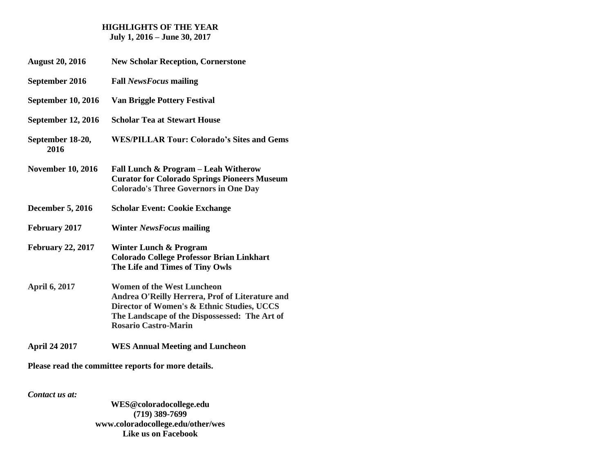# **HIGHLIGHTS OF THE YEAR**

**July 1, 2016 – June 30, 2017**

- **August 20, 2016 New Scholar Reception, Cornerstone**
- **September 2016 Fall** *NewsFocus* **mailing**
- **September 10, 2016 Van Briggle Pottery Festival**
- **September 12, 2016 Scholar Tea at Stewart House**
- **September 18-20, WES/PILLAR Tour: Colorado's Sites and Gems 2016**
- **November 10, 2016 Fall Lunch & Program – Leah Witherow Curator for Colorado Springs Pioneers Museum Colorado's Three Governors in One Day**
- **December 5, 2016 Scholar Event: Cookie Exchange**
- **February 2017 Winter** *NewsFocus* **mailing**
- **February 22, 2017 Winter Lunch & Program Colorado College Professor Brian Linkhart The Life and Times of Tiny Owls**
- **April 6, 2017 Women of the West Luncheon Andrea O'Reilly Herrera, Prof of Literature and Director of Women's & Ethnic Studies, UCCS The Landscape of the Dispossessed: The Art of Rosario Castro-Marin**
- **April 24 2017 WES Annual Meeting and Luncheon**

**Please read the committee reports for more details.**

*Contact us at:*

**WES@coloradocollege.edu (719) 389-7699 [www.coloradocollege.edu/other/wes](http://www.coloradocollege.edu/other/wes) Like us on Facebook**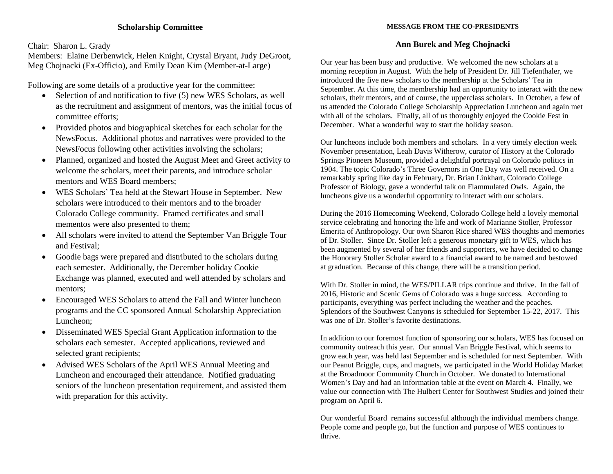### **Scholarship Committee**

Chair: Sharon L. Grady

Members: Elaine Derbenwick, Helen Knight, Crystal Bryant, Judy DeGroot, Meg Chojnacki (Ex-Officio), and Emily Dean Kim (Member-at-Large)

Following are some details of a productive year for the committee:

- Selection of and notification to five (5) new WES Scholars, as well as the recruitment and assignment of mentors, was the initial focus of committee efforts;
- Provided photos and biographical sketches for each scholar for the NewsFocus. Additional photos and narratives were provided to the NewsFocus following other activities involving the scholars;
- Planned, organized and hosted the August Meet and Greet activity to welcome the scholars, meet their parents, and introduce scholar mentors and WES Board members;
- WES Scholars' Tea held at the Stewart House in September. New scholars were introduced to their mentors and to the broader Colorado College community. Framed certificates and small mementos were also presented to them;
- All scholars were invited to attend the September Van Briggle Tour and Festival;
- Goodie bags were prepared and distributed to the scholars during each semester. Additionally, the December holiday Cookie Exchange was planned, executed and well attended by scholars and mentors;
- Encouraged WES Scholars to attend the Fall and Winter luncheon programs and the CC sponsored Annual Scholarship Appreciation Luncheon;
- Disseminated WES Special Grant Application information to the scholars each semester. Accepted applications, reviewed and selected grant recipients;
- Advised WES Scholars of the April WES Annual Meeting and Luncheon and encouraged their attendance. Notified graduating seniors of the luncheon presentation requirement, and assisted them with preparation for this activity.

### **MESSAGE FROM THE CO-PRESIDENTS**

### **Ann Burek and Meg Chojnacki**

Our year has been busy and productive. We welcomed the new scholars at a morning reception in August. With the help of President Dr. Jill Tiefenthaler, we introduced the five new scholars to the membership at the Scholars' Tea in September. At this time, the membership had an opportunity to interact with the new scholars, their mentors, and of course, the upperclass scholars. In October, a few of us attended the Colorado College Scholarship Appreciation Luncheon and again met with all of the scholars. Finally, all of us thoroughly enjoyed the Cookie Fest in December. What a wonderful way to start the holiday season.

Our luncheons include both members and scholars. In a very timely election week November presentation, Leah Davis Witherow, curator of History at the Colorado Springs Pioneers Museum, provided a delightful portrayal on Colorado politics in 1904. The topic Colorado's Three Governors in One Day was well received. On a remarkably spring like day in February, Dr. Brian Linkhart, Colorado College Professor of Biology, gave a wonderful talk on Flammulated Owls. Again, the luncheons give us a wonderful opportunity to interact with our scholars.

During the 2016 Homecoming Weekend, Colorado College held a lovely memorial service celebrating and honoring the life and work of Marianne Stoller, Professor Emerita of Anthropology. Our own Sharon Rice shared WES thoughts and memories of Dr. Stoller. Since Dr. Stoller left a generous monetary gift to WES, which has been augmented by several of her friends and supporters, we have decided to change the Honorary Stoller Scholar award to a financial award to be named and bestowed at graduation. Because of this change, there will be a transition period.

With Dr. Stoller in mind, the WES/PILLAR trips continue and thrive. In the fall of 2016, Historic and Scenic Gems of Colorado was a huge success. According to participants, everything was perfect including the weather and the peaches. Splendors of the Southwest Canyons is scheduled for September 15-22, 2017. This was one of Dr. Stoller's favorite destinations.

In addition to our foremost function of sponsoring our scholars, WES has focused on community outreach this year. Our annual Van Briggle Festival, which seems to grow each year, was held last September and is scheduled for next September. With our Peanut Briggle, cups, and magnets, we participated in the World Holiday Market at the Broadmoor Community Church in October. We donated to International Women's Day and had an information table at the event on March 4. Finally, we value our connection with The Hulbert Center for Southwest Studies and joined their program on April 6.

Our wonderful Board remains successful although the individual members change. People come and people go, but the function and purpose of WES continues to thrive.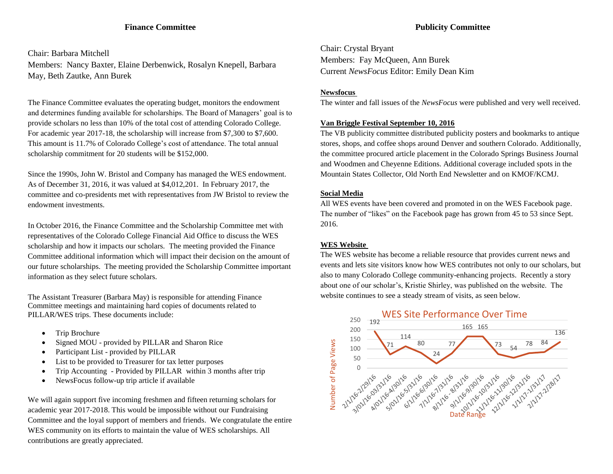### **Finance Committee**

Chair: Barbara Mitchell Members: Nancy Baxter, Elaine Derbenwick, Rosalyn Knepell, Barbara May, Beth Zautke, Ann Burek

The Finance Committee evaluates the operating budget, monitors the endowment and determines funding available for scholarships. The Board of Managers' goal is to provide scholars no less than 10% of the total cost of attending Colorado College. For academic year 2017-18, the scholarship will increase from \$7,300 to \$7,600. This amount is 11.7% of Colorado College's cost of attendance. The total annual scholarship commitment for 20 students will be \$152,000.

Since the 1990s, John W. Bristol and Company has managed the WES endowment. As of December 31, 2016, it was valued at \$4,012,201. In February 2017, the committee and co-presidents met with representatives from JW Bristol to review the endowment investments.

In October 2016, the Finance Committee and the Scholarship Committee met with representatives of the Colorado College Financial Aid Office to discuss the WES scholarship and how it impacts our scholars. The meeting provided the Finance Committee additional information which will impact their decision on the amount of our future scholarships. The meeting provided the Scholarship Committee important information as they select future scholars.

The Assistant Treasurer (Barbara May) is responsible for attending Finance Committee meetings and maintaining hard copies of documents related to PILLAR/WES trips. These documents include:

- Trip Brochure
- Signed MOU provided by PILLAR and Sharon Rice
- Participant List provided by PILLAR
- List to be provided to Treasurer for tax letter purposes
- Trip Accounting Provided by PILLAR within 3 months after trip
- NewsFocus follow-up trip article if available

We will again support five incoming freshmen and fifteen returning scholars for academic year 2017-2018. This would be impossible without our Fundraising Committee and the loyal support of members and friends. We congratulate the entire WES community on its efforts to maintain the value of WES scholarships. All contributions are greatly appreciated.

Chair: Crystal Bryant Members: Fay McQueen, Ann Burek Current *NewsFocus* Editor: Emily Dean Kim

### **Newsfocus**

The winter and fall issues of the *NewsFocus* were published and very well received.

#### **Van Briggle Festival September 10, 2016**

The VB publicity committee distributed publicity posters and bookmarks to antique stores, shops, and coffee shops around Denver and southern Colorado. Additionally, the committee procured article placement in the Colorado Springs Business Journal and Woodmen and Cheyenne Editions. Additional coverage included spots in the Mountain States Collector, Old North End Newsletter and on KMOF/KCMJ.

#### **Social Media**

All WES events have been covered and promoted in on the WES Facebook page. The number of "likes" on the Facebook page has grown from 45 to 53 since Sept. 2016.

### **WES Website**

The WES website has become a reliable resource that provides current news and events and lets site visitors know how WES contributes not only to our scholars, but also to many Colorado College community-enhancing projects. Recently a story about one of our scholar's, Kristie Shirley, was published on the website. The website continues to see a steady stream of visits, as seen below.

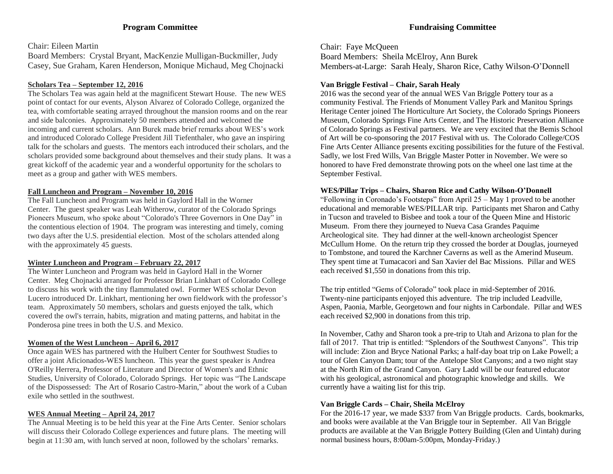## **Fundraising Committee**

### Chair: Eileen Martin

Board Members: Crystal Bryant, MacKenzie Mulligan-Buckmiller, Judy Casey, Sue Graham, Karen Henderson, Monique Michaud, Meg Chojnacki

### **Scholars Tea – September 12, 2016**

The Scholars Tea was again held at the magnificent Stewart House. The new WES point of contact for our events, Alyson Alvarez of Colorado College, organized the tea, with comfortable seating arrayed throughout the mansion rooms and on the rear and side balconies. Approximately 50 members attended and welcomed the incoming and current scholars. Ann Burek made brief remarks about WES's work and introduced Colorado College President Jill Tiefenthaler, who gave an inspiring talk for the scholars and guests. The mentors each introduced their scholars, and the scholars provided some background about themselves and their study plans. It was a great kickoff of the academic year and a wonderful opportunity for the scholars to meet as a group and gather with WES members.

## **Fall Luncheon and Program – November 10, 2016**

The Fall Luncheon and Program was held in Gaylord Hall in the Worner Center. The guest speaker was Leah Witherow, curator of the Colorado Springs Pioneers Museum, who spoke about "Colorado's Three Governors in One Day" in the contentious election of 1904. The program was interesting and timely, coming two days after the U.S. presidential election. Most of the scholars attended along with the approximately 45 guests.

## **Winter Luncheon and Program – February 22, 2017**

The Winter Luncheon and Program was held in Gaylord Hall in the Worner Center. Meg Chojnacki arranged for Professor Brian Linkhart of Colorado College to discuss his work with the tiny flammulated owl. Former WES scholar Devon Lucero introduced Dr. Linkhart, mentioning her own fieldwork with the professor's team. Approximately 50 members, scholars and guests enjoyed the talk, which covered the owl's terrain, habits, migration and mating patterns, and habitat in the Ponderosa pine trees in both the U.S. and Mexico.

## **Women of the West Luncheon – April 6, 2017**

Once again WES has partnered with the Hulbert Center for Southwest Studies to offer a joint Aficionados-WES luncheon. This year the guest speaker is Andrea O'Reilly Herrera, Professor of Literature and Director of Women's and Ethnic Studies, University of Colorado, Colorado Springs. Her topic was "The Landscape of the Dispossessed: The Art of Rosario Castro-Marin," about the work of a Cuban exile who settled in the southwest.

## **WES Annual Meeting – April 24, 2017**

The Annual Meeting is to be held this year at the Fine Arts Center. Senior scholars will discuss their Colorado College experiences and future plans. The meeting will begin at 11:30 am, with lunch served at noon, followed by the scholars' remarks.

Chair: Faye McQueen Board Members: Sheila McElroy, Ann Burek Members-at-Large: Sarah Healy, Sharon Rice, Cathy Wilson-O'Donnell

## **Van Briggle Festival – Chair, Sarah Healy**

2016 was the second year of the annual WES Van Briggle Pottery tour as a community Festival. The Friends of Monument Valley Park and Manitou Springs Heritage Center joined The Horticulture Art Society, the Colorado Springs Pioneers Museum, Colorado Springs Fine Arts Center, and The Historic Preservation Alliance of Colorado Springs as Festival partners. We are very excited that the Bemis School of Art will be co-sponsoring the 2017 Festival with us. The Colorado College/COS Fine Arts Center Alliance presents exciting possibilities for the future of the Festival. Sadly, we lost Fred Wills, Van Briggle Master Potter in November. We were so honored to have Fred demonstrate throwing pots on the wheel one last time at the September Festival.

## **WES/Pillar Trips – Chairs, Sharon Rice and Cathy Wilson-O'Donnell**

"Following in Coronado's Footsteps" from April 25 – May 1 proved to be another educational and memorable WES/PILLAR trip. Participants met Sharon and Cathy in Tucson and traveled to Bisbee and took a tour of the Queen Mine and Historic Museum. From there they journeyed to Nueva Casa Grandes Paquime Archeological site. They had dinner at the well-known archeologist Spencer McCullum Home. On the return trip they crossed the border at Douglas, journeyed to Tombstone, and toured the Karchner Caverns as well as the Amerind Museum. They spent time at Tumacacori and San Xavier del Bac Missions. Pillar and WES each received \$1,550 in donations from this trip.

The trip entitled "Gems of Colorado" took place in mid-September of 2016. Twenty-nine participants enjoyed this adventure. The trip included Leadville, Aspen, Paonia, Marble, Georgetown and four nights in Carbondale. Pillar and WES each received \$2,900 in donations from this trip.

In November, Cathy and Sharon took a pre-trip to Utah and Arizona to plan for the fall of 2017. That trip is entitled: "Splendors of the Southwest Canyons". This trip will include: Zion and Bryce National Parks; a half-day boat trip on Lake Powell; a tour of Glen Canyon Dam; tour of the Antelope Slot Canyons; and a two night stay at the North Rim of the Grand Canyon. Gary Ladd will be our featured educator with his geological, astronomical and photographic knowledge and skills. We currently have a waiting list for this trip.

## **Van Briggle Cards – Chair, Sheila McElroy**

For the 2016-17 year, we made \$337 from Van Briggle products. Cards, bookmarks, and books were available at the Van Briggle tour in September. All Van Briggle products are available at the Van Briggle Pottery Building (Glen and Uintah) during normal business hours, 8:00am-5:00pm, Monday-Friday.)